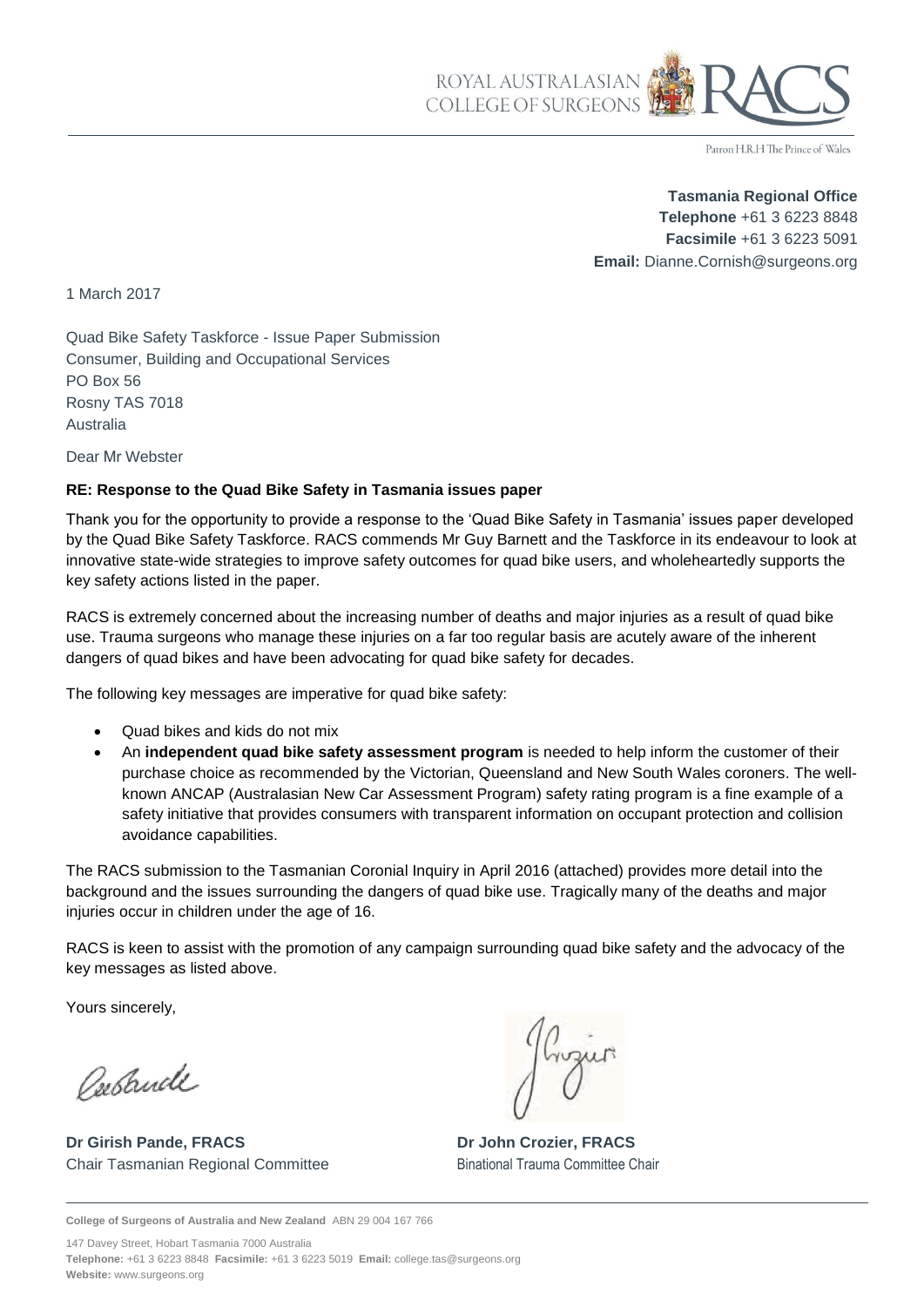

Patron H.R.H The Prince of Wales

**Tasmania Regional Office Telephone** +61 3 6223 8848 **Facsimile** +61 3 6223 5091 **Email:** Dianne.Cornish@surgeons.org

1 March 2017

Quad Bike Safety Taskforce - Issue Paper Submission Consumer, Building and Occupational Services PO Box 56 Rosny TAS 7018 Australia

Dear Mr Webster

#### **RE: Response to the Quad Bike Safety in Tasmania issues paper**

Thank you for the opportunity to provide a response to the 'Quad Bike Safety in Tasmania' issues paper developed by the Quad Bike Safety Taskforce. RACS commends Mr Guy Barnett and the Taskforce in its endeavour to look at innovative state-wide strategies to improve safety outcomes for quad bike users, and wholeheartedly supports the key safety actions listed in the paper.

RACS is extremely concerned about the increasing number of deaths and major injuries as a result of quad bike use. Trauma surgeons who manage these injuries on a far too regular basis are acutely aware of the inherent dangers of quad bikes and have been advocating for quad bike safety for decades.

The following key messages are imperative for quad bike safety:

- Quad bikes and kids do not mix
- An **independent quad bike safety assessment program** is needed to help inform the customer of their purchase choice as recommended by the Victorian, Queensland and New South Wales coroners. The wellknown ANCAP (Australasian New Car Assessment Program) safety rating program is a fine example of a safety initiative that provides consumers with transparent information on occupant protection and collision avoidance capabilities.

The RACS submission to the Tasmanian Coronial Inquiry in April 2016 (attached) provides more detail into the background and the issues surrounding the dangers of quad bike use. Tragically many of the deaths and major injuries occur in children under the age of 16.

RACS is keen to assist with the promotion of any campaign surrounding quad bike safety and the advocacy of the key messages as listed above.

Yours sincerely,

Peestruck

**Dr Girish Pande, FRACS Dr John Crozier, FRACS**  Chair Tasmanian Regional Committee Binational Trauma Committee Chair

**College of Surgeons of Australia and New Zealand** ABN 29 004 167 766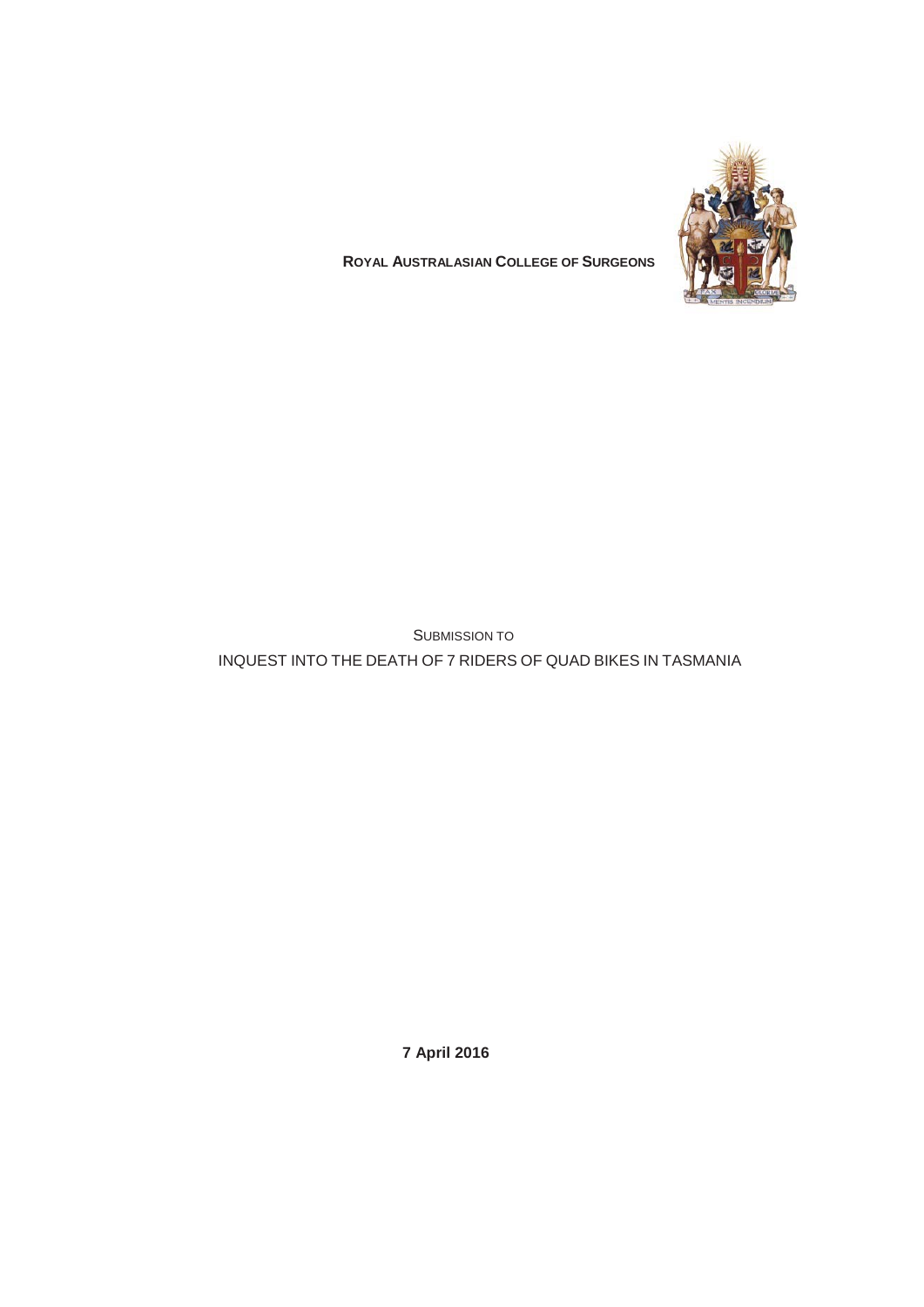

# **ROYAL AUSTRALASIAN COLLEGE OF SURGEONS**

SUBMISSION TO INQUEST INTO THE DEATH OF 7 RIDERS OF QUAD BIKES IN TASMANIA

**7 April 2016**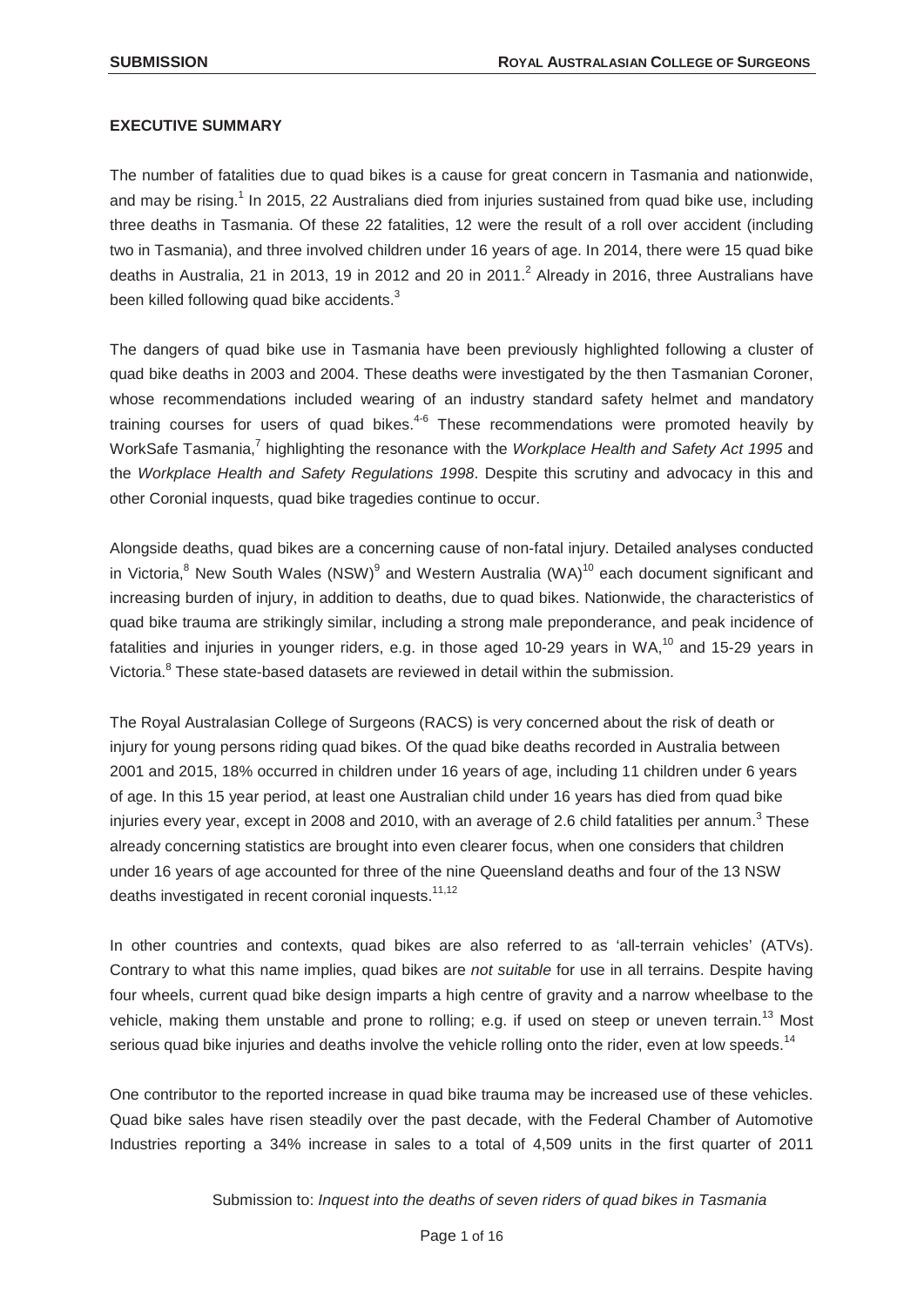#### **EXECUTIVE SUMMARY**

The number of fatalities due to quad bikes is a cause for great concern in Tasmania and nationwide, and may be rising.<sup>1</sup> In 2015, 22 Australians died from injuries sustained from quad bike use, including three deaths in Tasmania. Of these 22 fatalities, 12 were the result of a roll over accident (including two in Tasmania), and three involved children under 16 years of age. In 2014, there were 15 quad bike deaths in Australia, 21 in 2013, 19 in 2012 and 20 in 2011.<sup>2</sup> Already in 2016, three Australians have been killed following quad bike accidents.<sup>3</sup>

The dangers of quad bike use in Tasmania have been previously highlighted following a cluster of quad bike deaths in 2003 and 2004. These deaths were investigated by the then Tasmanian Coroner, whose recommendations included wearing of an industry standard safety helmet and mandatory training courses for users of quad bikes. $4-6$  These recommendations were promoted heavily by WorkSafe Tasmania,<sup>7</sup> highlighting the resonance with the *Workplace Health and Safety Act 1995* and the *Workplace Health and Safety Regulations 1998*. Despite this scrutiny and advocacy in this and other Coronial inquests, quad bike tragedies continue to occur.

Alongside deaths, quad bikes are a concerning cause of non-fatal injury. Detailed analyses conducted in Victoria, $8$  New South Wales (NSW) $9$  and Western Australia (WA) $10$  each document significant and increasing burden of injury, in addition to deaths, due to quad bikes. Nationwide, the characteristics of quad bike trauma are strikingly similar, including a strong male preponderance, and peak incidence of fatalities and injuries in younger riders, e.g. in those aged 10-29 years in WA, $^{10}$  and 15-29 years in Victoria.<sup>8</sup> These state-based datasets are reviewed in detail within the submission.

The Royal Australasian College of Surgeons (RACS) is very concerned about the risk of death or injury for young persons riding quad bikes. Of the quad bike deaths recorded in Australia between 2001 and 2015, 18% occurred in children under 16 years of age, including 11 children under 6 years of age. In this 15 year period, at least one Australian child under 16 years has died from quad bike injuries every year, except in 2008 and 2010, with an average of 2.6 child fatalities per annum.<sup>3</sup> These already concerning statistics are brought into even clearer focus, when one considers that children under 16 years of age accounted for three of the nine Queensland deaths and four of the 13 NSW deaths investigated in recent coronial inquests.<sup>11,12</sup>

In other countries and contexts, quad bikes are also referred to as 'all-terrain vehicles' (ATVs). Contrary to what this name implies, quad bikes are *not suitable* for use in all terrains. Despite having four wheels, current quad bike design imparts a high centre of gravity and a narrow wheelbase to the vehicle, making them unstable and prone to rolling; e.g. if used on steep or uneven terrain.<sup>13</sup> Most serious quad bike injuries and deaths involve the vehicle rolling onto the rider, even at low speeds.<sup>14</sup>

One contributor to the reported increase in quad bike trauma may be increased use of these vehicles. Quad bike sales have risen steadily over the past decade, with the Federal Chamber of Automotive Industries reporting a 34% increase in sales to a total of 4,509 units in the first quarter of 2011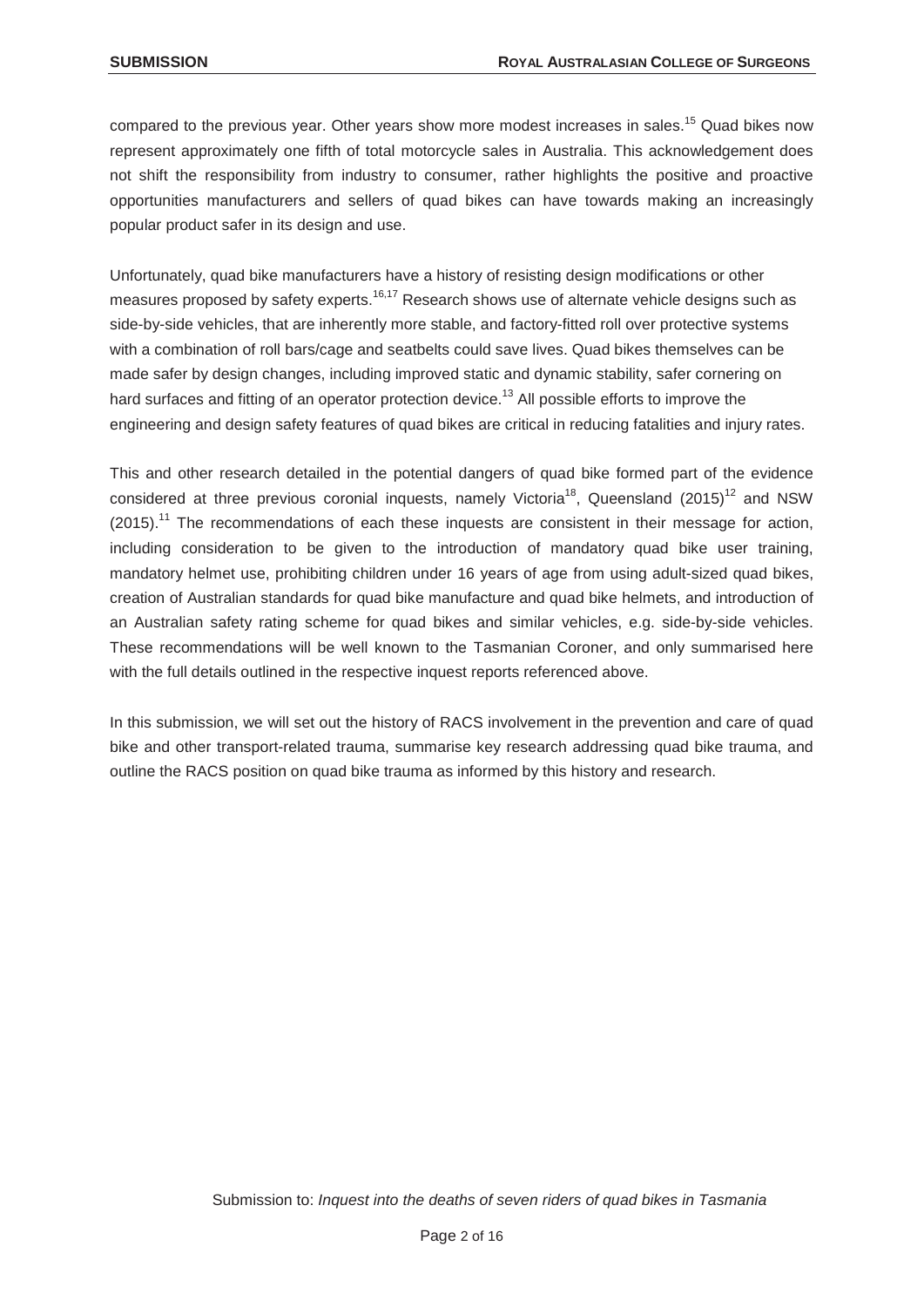compared to the previous year. Other years show more modest increases in sales.<sup>15</sup> Quad bikes now represent approximately one fifth of total motorcycle sales in Australia. This acknowledgement does not shift the responsibility from industry to consumer, rather highlights the positive and proactive opportunities manufacturers and sellers of quad bikes can have towards making an increasingly popular product safer in its design and use.

Unfortunately, quad bike manufacturers have a history of resisting design modifications or other measures proposed by safety experts.<sup>16,17</sup> Research shows use of alternate vehicle designs such as side-by-side vehicles, that are inherently more stable, and factory-fitted roll over protective systems with a combination of roll bars/cage and seatbelts could save lives. Quad bikes themselves can be made safer by design changes, including improved static and dynamic stability, safer cornering on hard surfaces and fitting of an operator protection device.<sup>13</sup> All possible efforts to improve the engineering and design safety features of quad bikes are critical in reducing fatalities and injury rates.

This and other research detailed in the potential dangers of quad bike formed part of the evidence considered at three previous coronial inquests, namely Victoria<sup>18</sup>, Queensland (2015)<sup>12</sup> and NSW  $(2015)$ .<sup>11</sup> The recommendations of each these inquests are consistent in their message for action, including consideration to be given to the introduction of mandatory quad bike user training, mandatory helmet use, prohibiting children under 16 years of age from using adult-sized quad bikes, creation of Australian standards for quad bike manufacture and quad bike helmets, and introduction of an Australian safety rating scheme for quad bikes and similar vehicles, e.g. side-by-side vehicles. These recommendations will be well known to the Tasmanian Coroner, and only summarised here with the full details outlined in the respective inquest reports referenced above.

In this submission, we will set out the history of RACS involvement in the prevention and care of quad bike and other transport-related trauma, summarise key research addressing quad bike trauma, and outline the RACS position on quad bike trauma as informed by this history and research.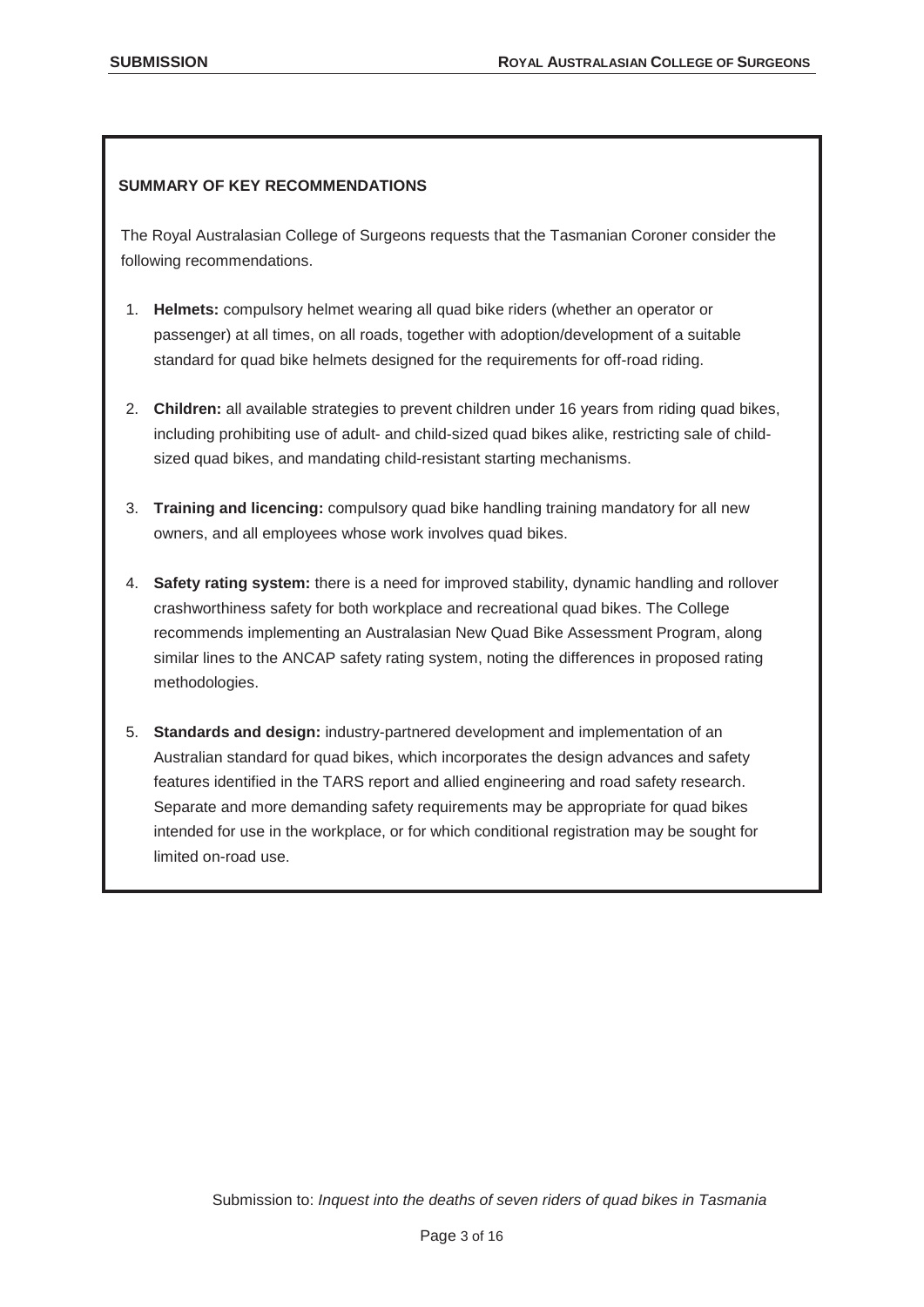# **SUMMARY OF KEY RECOMMENDATIONS**

The Royal Australasian College of Surgeons requests that the Tasmanian Coroner consider the following recommendations.

- 1. **Helmets:** compulsory helmet wearing all quad bike riders (whether an operator or passenger) at all times, on all roads, together with adoption/development of a suitable standard for quad bike helmets designed for the requirements for off-road riding.
- 2. **Children:** all available strategies to prevent children under 16 years from riding quad bikes, including prohibiting use of adult- and child-sized quad bikes alike, restricting sale of childsized quad bikes, and mandating child-resistant starting mechanisms.
- 3. **Training and licencing:** compulsory quad bike handling training mandatory for all new owners, and all employees whose work involves quad bikes.
- 4. **Safety rating system:** there is a need for improved stability, dynamic handling and rollover crashworthiness safety for both workplace and recreational quad bikes. The College recommends implementing an Australasian New Quad Bike Assessment Program, along similar lines to the ANCAP safety rating system, noting the differences in proposed rating methodologies.
- 5. **Standards and design:** industry-partnered development and implementation of an Australian standard for quad bikes, which incorporates the design advances and safety features identified in the TARS report and allied engineering and road safety research. Separate and more demanding safety requirements may be appropriate for quad bikes intended for use in the workplace, or for which conditional registration may be sought for limited on-road use.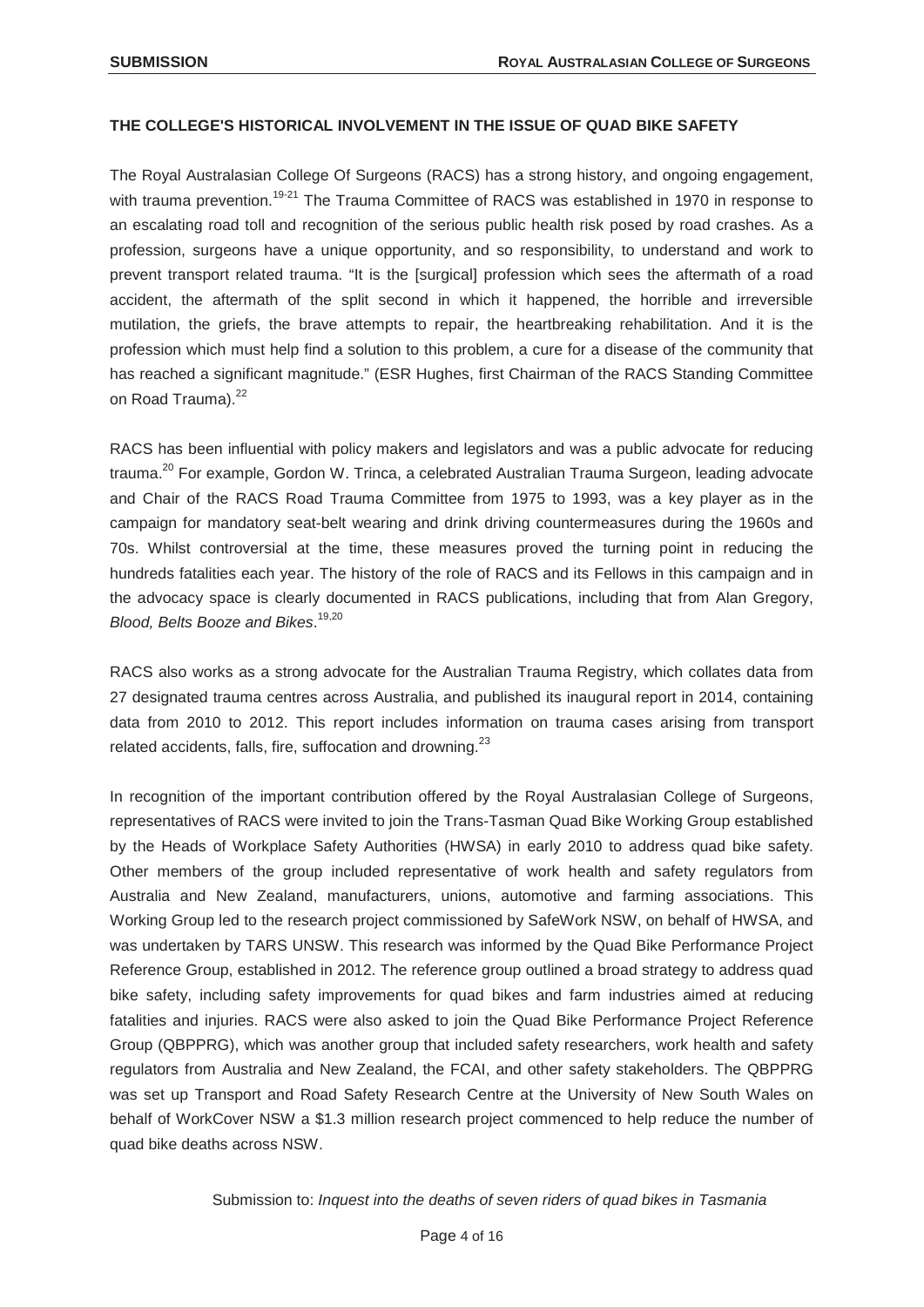## **THE COLLEGE'S HISTORICAL INVOLVEMENT IN THE ISSUE OF QUAD BIKE SAFETY**

The Royal Australasian College Of Surgeons (RACS) has a strong history, and ongoing engagement, with trauma prevention.<sup>19-21</sup> The Trauma Committee of RACS was established in 1970 in response to an escalating road toll and recognition of the serious public health risk posed by road crashes. As a profession, surgeons have a unique opportunity, and so responsibility, to understand and work to prevent transport related trauma. "It is the [surgical] profession which sees the aftermath of a road accident, the aftermath of the split second in which it happened, the horrible and irreversible mutilation, the griefs, the brave attempts to repair, the heartbreaking rehabilitation. And it is the profession which must help find a solution to this problem, a cure for a disease of the community that has reached a significant magnitude." (ESR Hughes, first Chairman of the RACS Standing Committee on Road Trauma).<sup>22</sup>

RACS has been influential with policy makers and legislators and was a public advocate for reducing trauma.<sup>20</sup> For example, Gordon W. Trinca, a celebrated Australian Trauma Surgeon, leading advocate and Chair of the RACS Road Trauma Committee from 1975 to 1993, was a key player as in the campaign for mandatory seat-belt wearing and drink driving countermeasures during the 1960s and 70s. Whilst controversial at the time, these measures proved the turning point in reducing the hundreds fatalities each year. The history of the role of RACS and its Fellows in this campaign and in the advocacy space is clearly documented in RACS publications, including that from Alan Gregory, *Blood, Belts Booze and Bikes*. 19,20

RACS also works as a strong advocate for the Australian Trauma Registry, which collates data from 27 designated trauma centres across Australia, and published its inaugural report in 2014, containing data from 2010 to 2012. This report includes information on trauma cases arising from transport related accidents, falls, fire, suffocation and drowning. $^{23}$ 

In recognition of the important contribution offered by the Royal Australasian College of Surgeons, representatives of RACS were invited to join the Trans-Tasman Quad Bike Working Group established by the Heads of Workplace Safety Authorities (HWSA) in early 2010 to address quad bike safety. Other members of the group included representative of work health and safety regulators from Australia and New Zealand, manufacturers, unions, automotive and farming associations. This Working Group led to the research project commissioned by SafeWork NSW, on behalf of HWSA, and was undertaken by TARS UNSW. This research was informed by the Quad Bike Performance Project Reference Group, established in 2012. The reference group outlined a broad strategy to address quad bike safety, including safety improvements for quad bikes and farm industries aimed at reducing fatalities and injuries. RACS were also asked to join the Quad Bike Performance Project Reference Group (QBPPRG), which was another group that included safety researchers, work health and safety regulators from Australia and New Zealand, the FCAI, and other safety stakeholders. The QBPPRG was set up Transport and Road Safety Research Centre at the University of New South Wales on behalf of WorkCover NSW a \$1.3 million research project commenced to help reduce the number of quad bike deaths across NSW.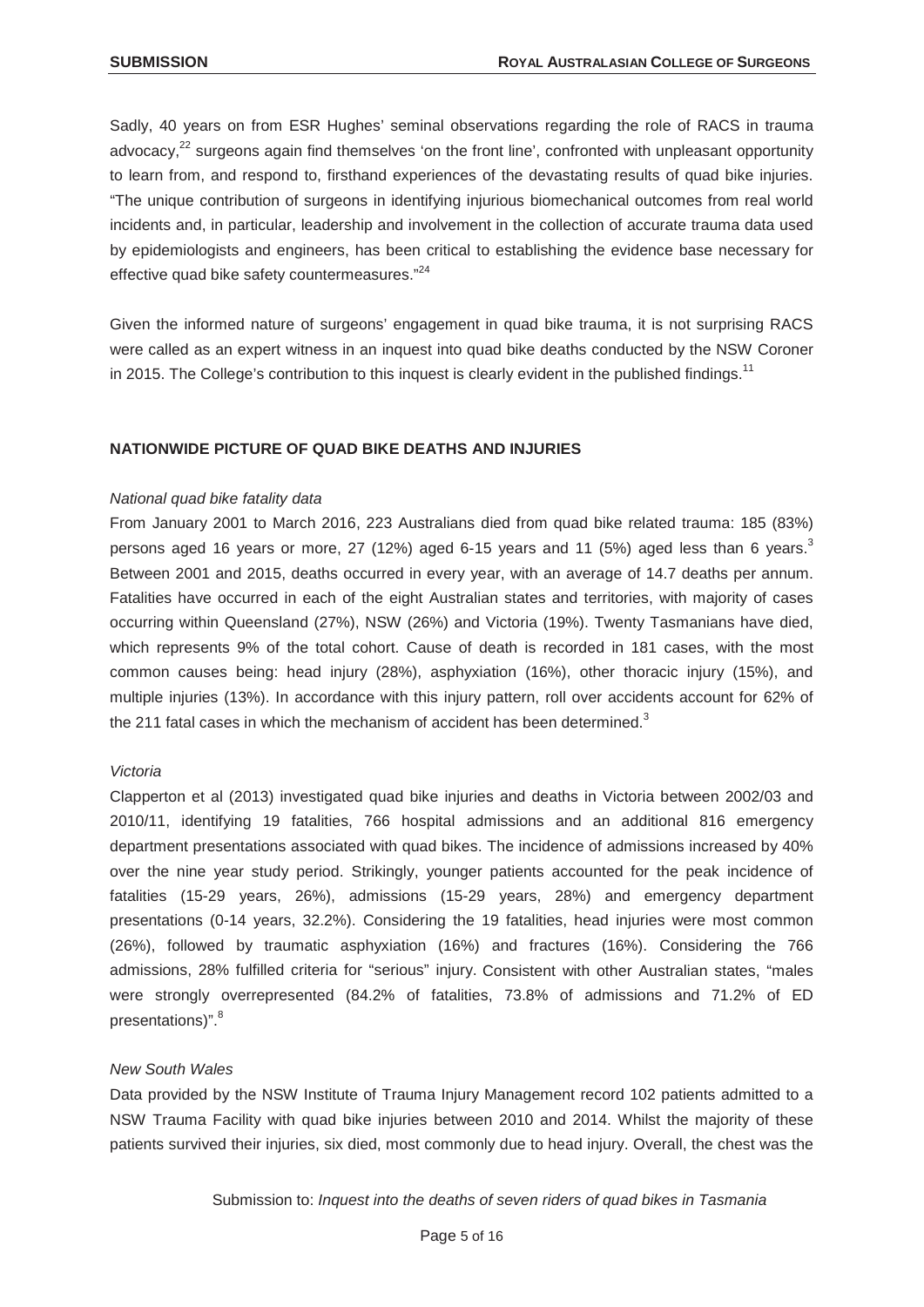Sadly, 40 years on from ESR Hughes' seminal observations regarding the role of RACS in trauma advocacy,<sup>22</sup> surgeons again find themselves 'on the front line', confronted with unpleasant opportunity to learn from, and respond to, firsthand experiences of the devastating results of quad bike injuries. "The unique contribution of surgeons in identifying injurious biomechanical outcomes from real world incidents and, in particular, leadership and involvement in the collection of accurate trauma data used by epidemiologists and engineers, has been critical to establishing the evidence base necessary for effective quad bike safety countermeasures."<sup>24</sup>

Given the informed nature of surgeons' engagement in quad bike trauma, it is not surprising RACS were called as an expert witness in an inquest into quad bike deaths conducted by the NSW Coroner in 2015. The College's contribution to this inquest is clearly evident in the published findings.<sup>11</sup>

#### **NATIONWIDE PICTURE OF QUAD BIKE DEATHS AND INJURIES**

#### *National quad bike fatality data*

From January 2001 to March 2016, 223 Australians died from quad bike related trauma: 185 (83%) persons aged 16 years or more, 27 (12%) aged 6-15 years and 11 (5%) aged less than 6 years. $3$ Between 2001 and 2015, deaths occurred in every year, with an average of 14.7 deaths per annum. Fatalities have occurred in each of the eight Australian states and territories, with majority of cases occurring within Queensland (27%), NSW (26%) and Victoria (19%). Twenty Tasmanians have died, which represents 9% of the total cohort. Cause of death is recorded in 181 cases, with the most common causes being: head injury (28%), asphyxiation (16%), other thoracic injury (15%), and multiple injuries (13%). In accordance with this injury pattern, roll over accidents account for 62% of the 211 fatal cases in which the mechanism of accident has been determined.<sup>3</sup>

#### *Victoria*

Clapperton et al (2013) investigated quad bike injuries and deaths in Victoria between 2002/03 and 2010/11, identifying 19 fatalities, 766 hospital admissions and an additional 816 emergency department presentations associated with quad bikes. The incidence of admissions increased by 40% over the nine year study period. Strikingly, younger patients accounted for the peak incidence of fatalities (15-29 years, 26%), admissions (15-29 years, 28%) and emergency department presentations (0-14 years, 32.2%). Considering the 19 fatalities, head injuries were most common (26%), followed by traumatic asphyxiation (16%) and fractures (16%). Considering the 766 admissions, 28% fulfilled criteria for "serious" injury. Consistent with other Australian states, "males were strongly overrepresented (84.2% of fatalities, 73.8% of admissions and 71.2% of ED presentations)".<sup>8</sup>

#### *New South Wales*

Data provided by the NSW Institute of Trauma Injury Management record 102 patients admitted to a NSW Trauma Facility with quad bike injuries between 2010 and 2014. Whilst the majority of these patients survived their injuries, six died, most commonly due to head injury. Overall, the chest was the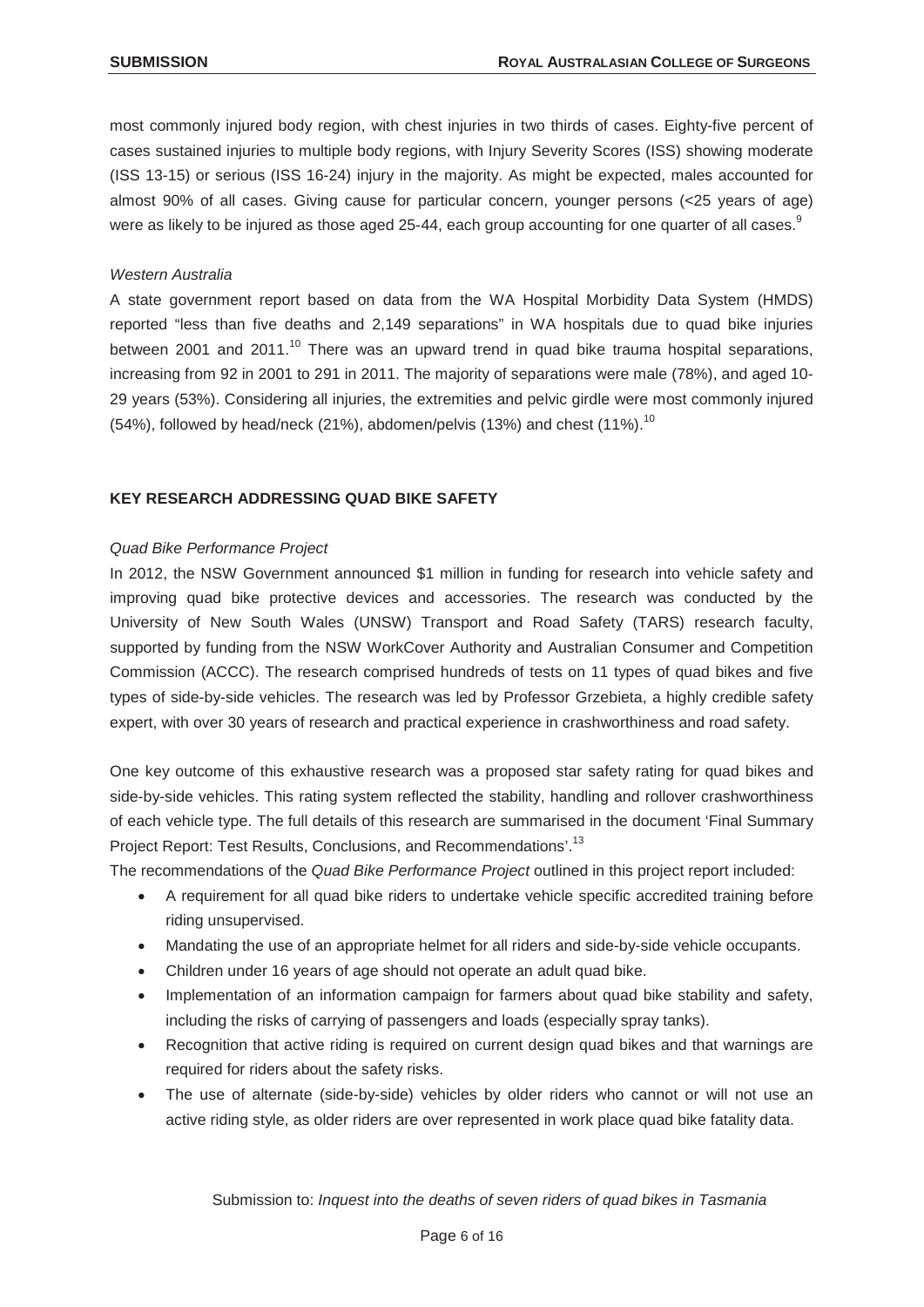most commonly injured body region, with chest injuries in two thirds of cases. Eighty-five percent of cases sustained injuries to multiple body regions, with Injury Severity Scores (ISS) showing moderate (ISS 13-15) or serious (ISS 16-24) injury in the majority. As might be expected, males accounted for almost 90% of all cases. Giving cause for particular concern, younger persons (<25 years of age) were as likely to be injured as those aged 25-44, each group accounting for one quarter of all cases.<sup>9</sup>

# *Western Australia*

A state government report based on data from the WA Hospital Morbidity Data System (HMDS) reported "less than five deaths and 2,149 separations" in WA hospitals due to quad bike injuries between 2001 and 2011.<sup>10</sup> There was an upward trend in quad bike trauma hospital separations, increasing from 92 in 2001 to 291 in 2011. The majority of separations were male (78%), and aged 10-29 years (53%). Considering all injuries, the extremities and pelvic girdle were most commonly injured (54%), followed by head/neck (21%), abdomen/pelvis (13%) and chest (11%).<sup>10</sup>

# **KEY RESEARCH ADDRESSING QUAD BIKE SAFETY**

# *Quad Bike Performance Project*

In 2012, the NSW Government announced \$1 million in funding for research into vehicle safety and improving quad bike protective devices and accessories. The research was conducted by the University of New South Wales (UNSW) Transport and Road Safety (TARS) research faculty, supported by funding from the NSW WorkCover Authority and Australian Consumer and Competition Commission (ACCC). The research comprised hundreds of tests on 11 types of quad bikes and five types of side-by-side vehicles. The research was led by Professor Grzebieta, a highly credible safety expert, with over 30 years of research and practical experience in crashworthiness and road safety.

One key outcome of this exhaustive research was a proposed star safety rating for quad bikes and side-by-side vehicles. This rating system reflected the stability, handling and rollover crashworthiness of each vehicle type. The full details of this research are summarised in the document 'Final Summary Project Report: Test Results, Conclusions, and Recommendations'.<sup>13</sup>

The recommendations of the *Quad Bike Performance Project* outlined in this project report included:

- A requirement for all quad bike riders to undertake vehicle specific accredited training before riding unsupervised.
- Mandating the use of an appropriate helmet for all riders and side-by-side vehicle occupants.
- Children under 16 years of age should not operate an adult quad bike.
- Implementation of an information campaign for farmers about quad bike stability and safety, including the risks of carrying of passengers and loads (especially spray tanks).
- Recognition that active riding is required on current design quad bikes and that warnings are required for riders about the safety risks.
- The use of alternate (side-by-side) vehicles by older riders who cannot or will not use an active riding style, as older riders are over represented in work place quad bike fatality data.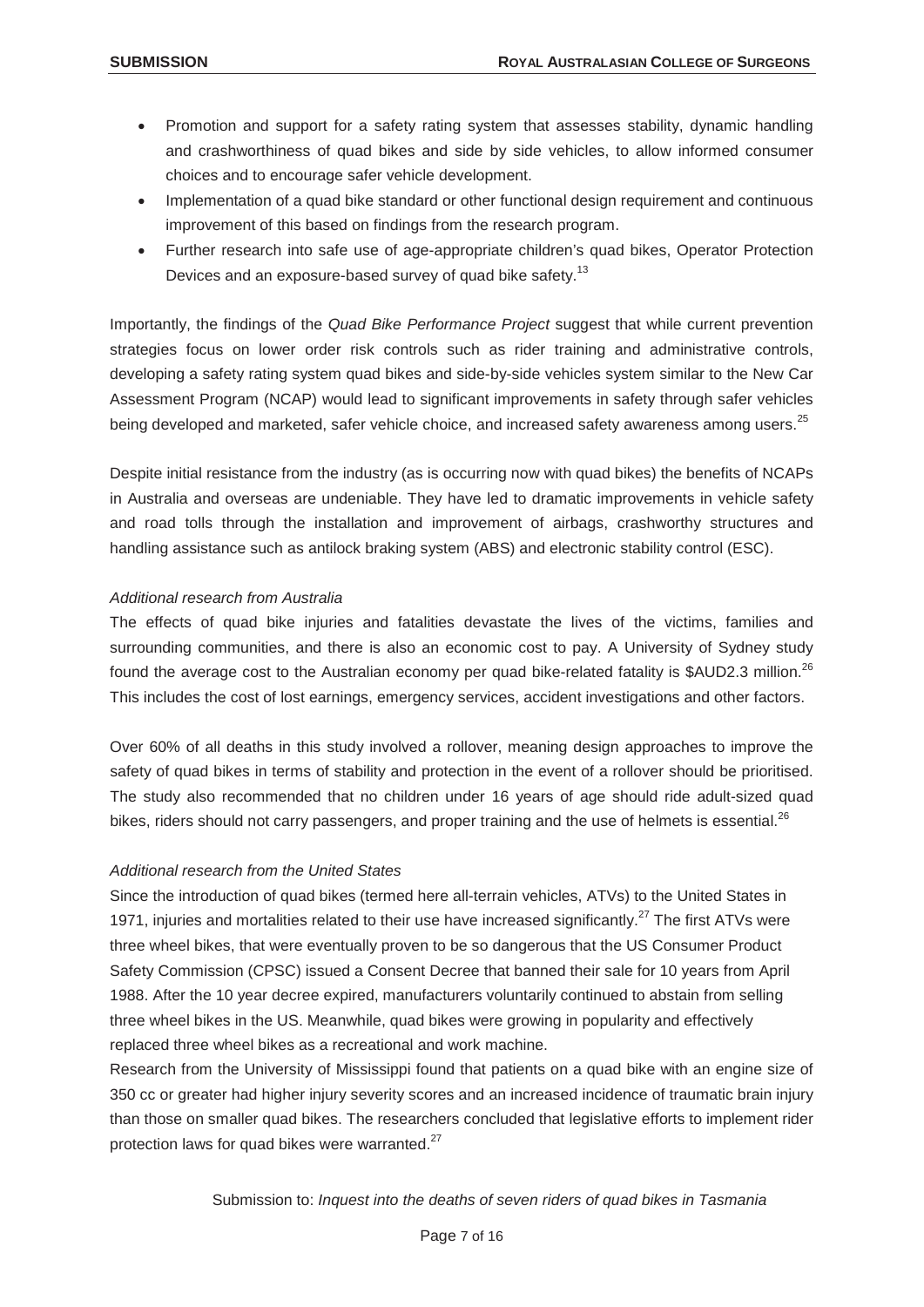- Promotion and support for a safety rating system that assesses stability, dynamic handling and crashworthiness of quad bikes and side by side vehicles, to allow informed consumer choices and to encourage safer vehicle development.
- Implementation of a quad bike standard or other functional design requirement and continuous improvement of this based on findings from the research program.
- Further research into safe use of age-appropriate children's quad bikes, Operator Protection Devices and an exposure-based survey of quad bike safety.<sup>13</sup>

Importantly, the findings of the *Quad Bike Performance Project* suggest that while current prevention strategies focus on lower order risk controls such as rider training and administrative controls, developing a safety rating system quad bikes and side-by-side vehicles system similar to the New Car Assessment Program (NCAP) would lead to significant improvements in safety through safer vehicles being developed and marketed, safer vehicle choice, and increased safety awareness among users.<sup>25</sup>

Despite initial resistance from the industry (as is occurring now with quad bikes) the benefits of NCAPs in Australia and overseas are undeniable. They have led to dramatic improvements in vehicle safety and road tolls through the installation and improvement of airbags, crashworthy structures and handling assistance such as antilock braking system (ABS) and electronic stability control (ESC).

# *Additional research from Australia*

The effects of quad bike injuries and fatalities devastate the lives of the victims, families and surrounding communities, and there is also an economic cost to pay. A University of Sydney study found the average cost to the Australian economy per quad bike-related fatality is \$AUD2.3 million.<sup>26</sup> This includes the cost of lost earnings, emergency services, accident investigations and other factors.

Over 60% of all deaths in this study involved a rollover, meaning design approaches to improve the safety of quad bikes in terms of stability and protection in the event of a rollover should be prioritised. The study also recommended that no children under 16 years of age should ride adult-sized quad bikes, riders should not carry passengers, and proper training and the use of helmets is essential.<sup>26</sup>

# *Additional research from the United States*

Since the introduction of quad bikes (termed here all-terrain vehicles, ATVs) to the United States in 1971, injuries and mortalities related to their use have increased significantly.<sup>27</sup> The first ATVs were three wheel bikes, that were eventually proven to be so dangerous that the US Consumer Product Safety Commission (CPSC) issued a Consent Decree that banned their sale for 10 years from April 1988. After the 10 year decree expired, manufacturers voluntarily continued to abstain from selling three wheel bikes in the US. Meanwhile, quad bikes were growing in popularity and effectively replaced three wheel bikes as a recreational and work machine.

Research from the University of Mississippi found that patients on a quad bike with an engine size of 350 cc or greater had higher injury severity scores and an increased incidence of traumatic brain injury than those on smaller quad bikes. The researchers concluded that legislative efforts to implement rider protection laws for quad bikes were warranted.<sup>27</sup>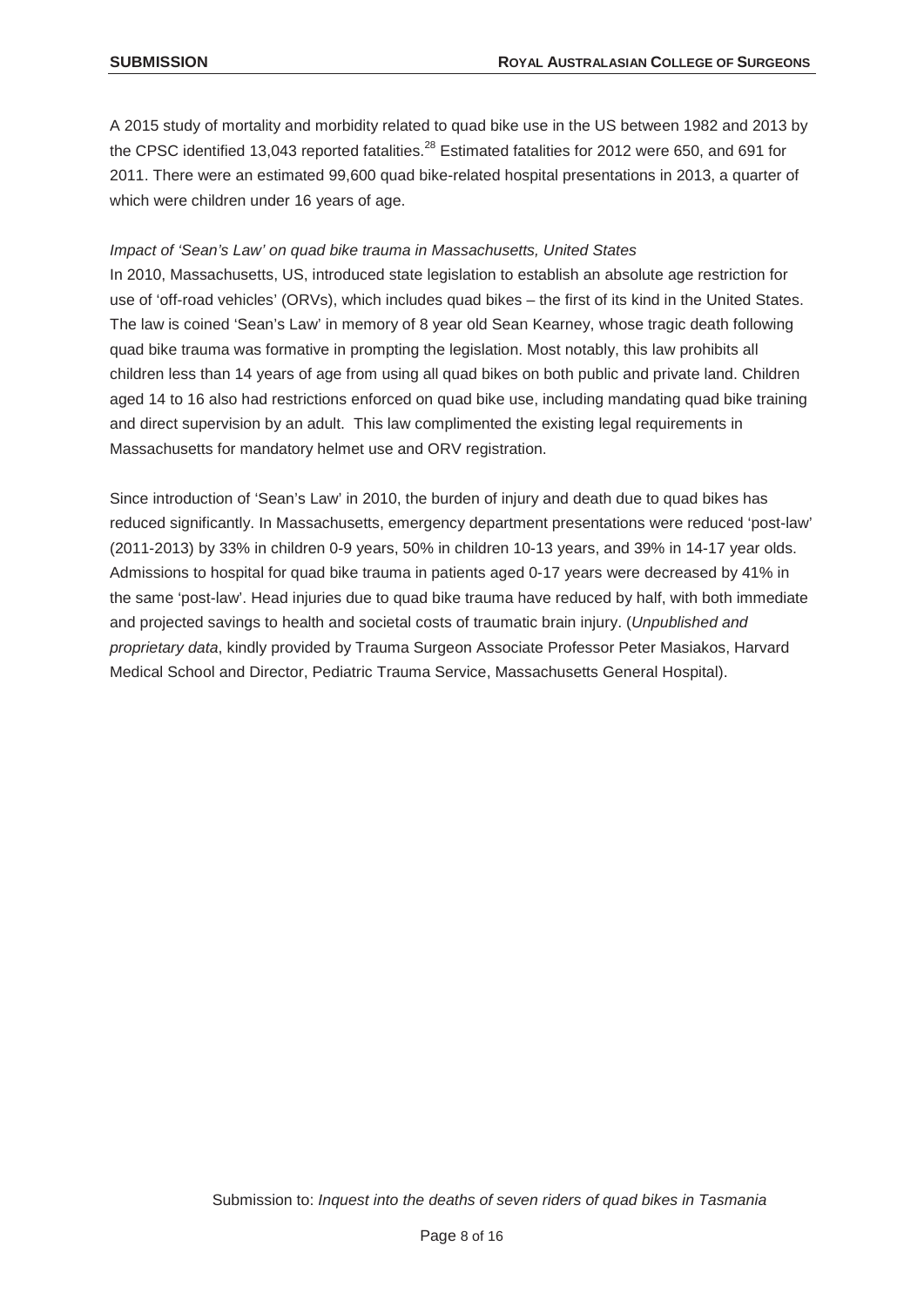A 2015 study of mortality and morbidity related to quad bike use in the US between 1982 and 2013 by the CPSC identified 13,043 reported fatalities.<sup>28</sup> Estimated fatalities for 2012 were 650, and 691 for 2011. There were an estimated 99,600 quad bike-related hospital presentations in 2013, a quarter of which were children under 16 years of age.

# *Impact of 'Sean's Law' on quad bike trauma in Massachusetts, United States*

In 2010, Massachusetts, US, introduced state legislation to establish an absolute age restriction for use of 'off-road vehicles' (ORVs), which includes quad bikes – the first of its kind in the United States. The law is coined 'Sean's Law' in memory of 8 year old Sean Kearney, whose tragic death following quad bike trauma was formative in prompting the legislation. Most notably, this law prohibits all children less than 14 years of age from using all quad bikes on both public and private land. Children aged 14 to 16 also had restrictions enforced on quad bike use, including mandating quad bike training and direct supervision by an adult. This law complimented the existing legal requirements in Massachusetts for mandatory helmet use and ORV registration.

Since introduction of 'Sean's Law' in 2010, the burden of injury and death due to quad bikes has reduced significantly. In Massachusetts, emergency department presentations were reduced 'post-law' (2011-2013) by 33% in children 0-9 years, 50% in children 10-13 years, and 39% in 14-17 year olds. Admissions to hospital for quad bike trauma in patients aged 0-17 years were decreased by 41% in the same 'post-law'. Head injuries due to quad bike trauma have reduced by half, with both immediate and projected savings to health and societal costs of traumatic brain injury. (*Unpublished and proprietary data*, kindly provided by Trauma Surgeon Associate Professor Peter Masiakos, Harvard Medical School and Director, Pediatric Trauma Service, Massachusetts General Hospital).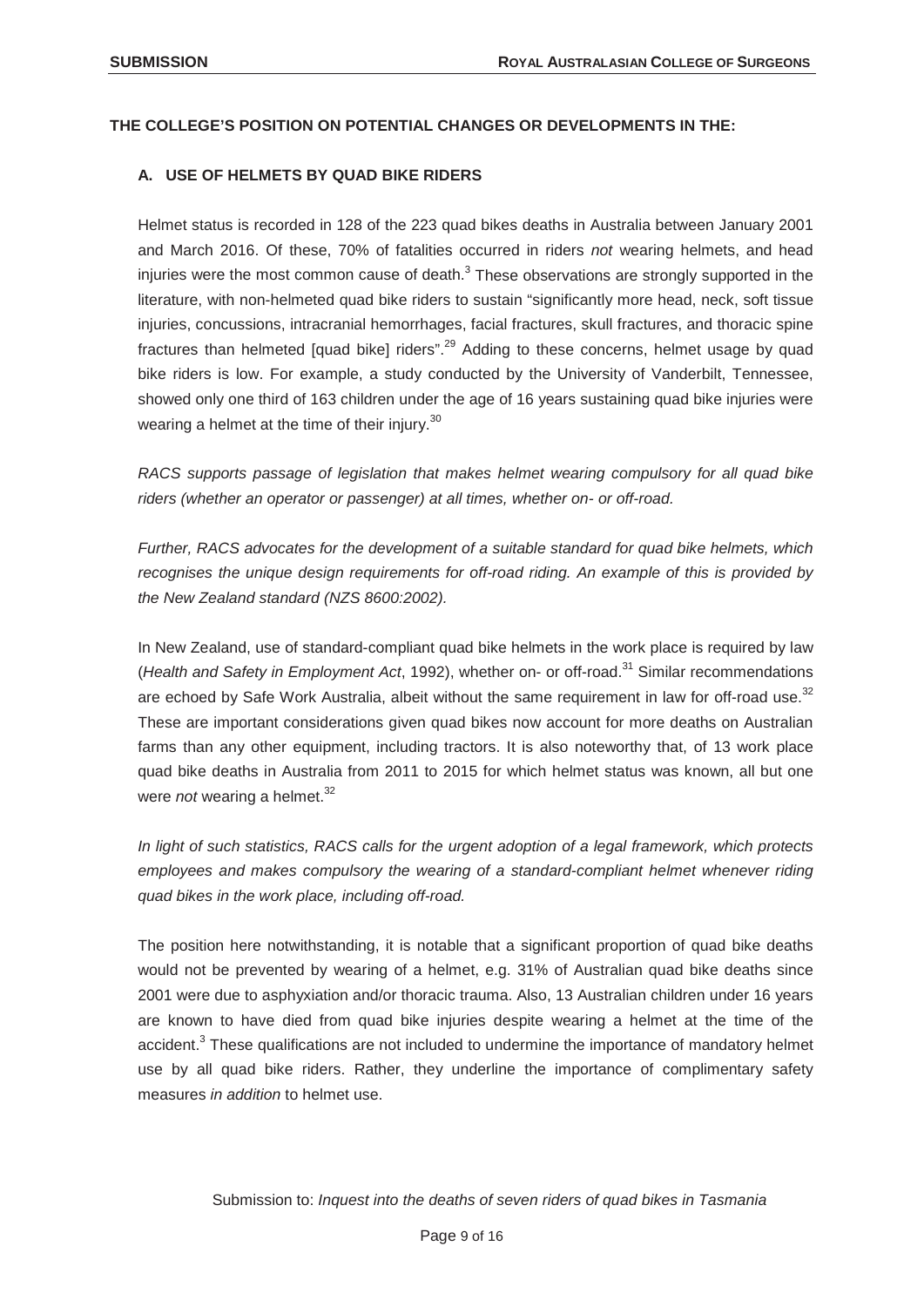## **THE COLLEGE'S POSITION ON POTENTIAL CHANGES OR DEVELOPMENTS IN THE:**

#### **A. USE OF HELMETS BY QUAD BIKE RIDERS**

Helmet status is recorded in 128 of the 223 quad bikes deaths in Australia between January 2001 and March 2016. Of these, 70% of fatalities occurred in riders *not* wearing helmets, and head injuries were the most common cause of death. $3$  These observations are strongly supported in the literature, with non-helmeted quad bike riders to sustain "significantly more head, neck, soft tissue injuries, concussions, intracranial hemorrhages, facial fractures, skull fractures, and thoracic spine fractures than helmeted [quad bike] riders".<sup>29</sup> Adding to these concerns, helmet usage by quad bike riders is low. For example, a study conducted by the University of Vanderbilt, Tennessee, showed only one third of 163 children under the age of 16 years sustaining quad bike injuries were wearing a helmet at the time of their injury.<sup>30</sup>

*RACS supports passage of legislation that makes helmet wearing compulsory for all quad bike riders (whether an operator or passenger) at all times, whether on- or off-road.* 

*Further, RACS advocates for the development of a suitable standard for quad bike helmets, which recognises the unique design requirements for off-road riding. An example of this is provided by the New Zealand standard (NZS 8600:2002).*

In New Zealand, use of standard-compliant quad bike helmets in the work place is required by law (*Health and Safety in Employment Act*, 1992), whether on- or off-road.<sup>31</sup> Similar recommendations are echoed by Safe Work Australia, albeit without the same requirement in law for off-road use.<sup>32</sup> These are important considerations given quad bikes now account for more deaths on Australian farms than any other equipment, including tractors. It is also noteworthy that, of 13 work place quad bike deaths in Australia from 2011 to 2015 for which helmet status was known, all but one were *not* wearing a helmet.<sup>32</sup>

*In light of such statistics, RACS calls for the urgent adoption of a legal framework, which protects employees and makes compulsory the wearing of a standard-compliant helmet whenever riding quad bikes in the work place, including off-road.*

The position here notwithstanding, it is notable that a significant proportion of quad bike deaths would not be prevented by wearing of a helmet, e.g. 31% of Australian quad bike deaths since 2001 were due to asphyxiation and/or thoracic trauma. Also, 13 Australian children under 16 years are known to have died from quad bike injuries despite wearing a helmet at the time of the accident.<sup>3</sup> These qualifications are not included to undermine the importance of mandatory helmet use by all quad bike riders. Rather, they underline the importance of complimentary safety measures *in addition* to helmet use.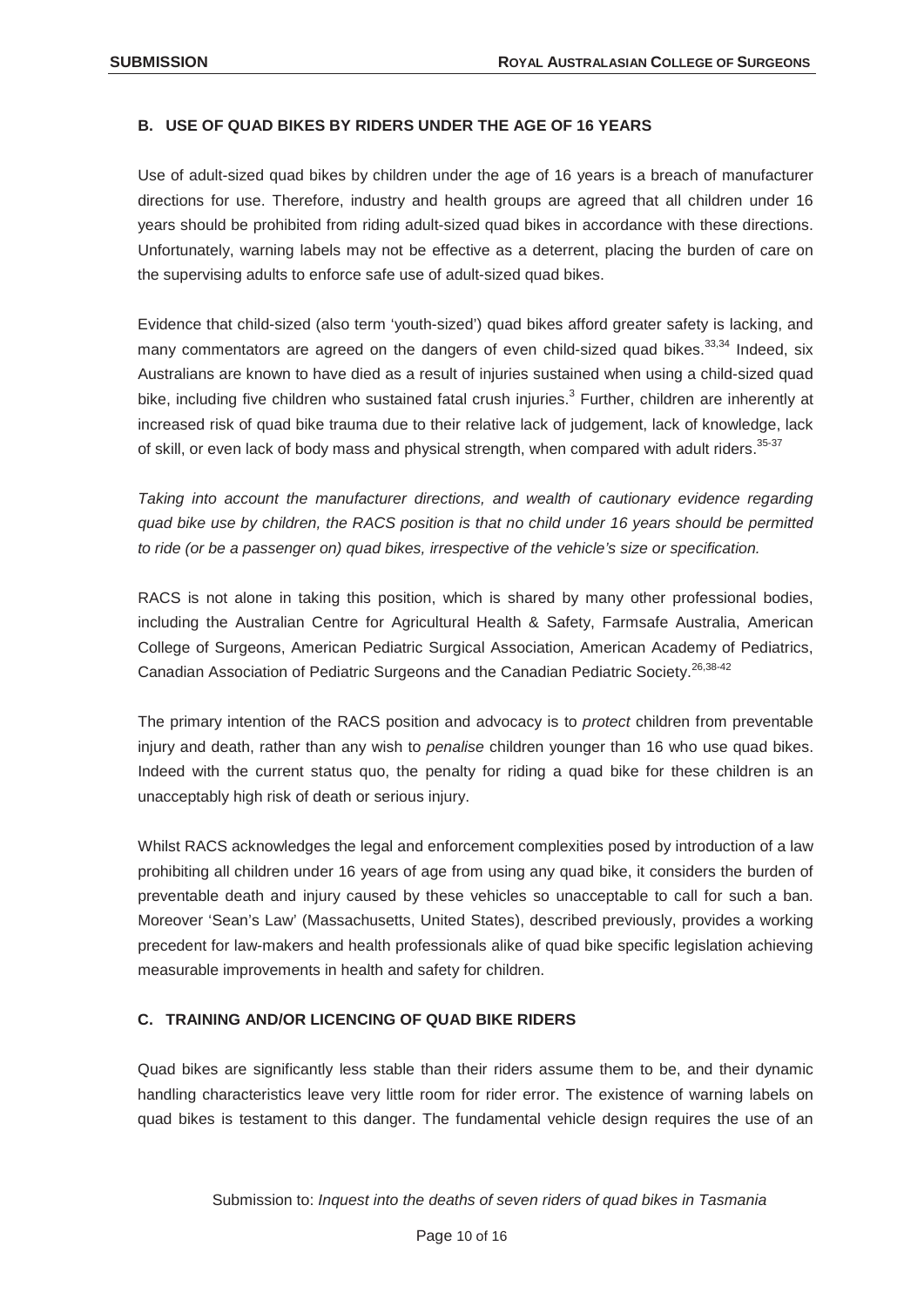# **B. USE OF QUAD BIKES BY RIDERS UNDER THE AGE OF 16 YEARS**

Use of adult-sized quad bikes by children under the age of 16 years is a breach of manufacturer directions for use. Therefore, industry and health groups are agreed that all children under 16 years should be prohibited from riding adult-sized quad bikes in accordance with these directions. Unfortunately, warning labels may not be effective as a deterrent, placing the burden of care on the supervising adults to enforce safe use of adult-sized quad bikes.

Evidence that child-sized (also term 'youth-sized') quad bikes afford greater safety is lacking, and many commentators are agreed on the dangers of even child-sized quad bikes.<sup>33,34</sup> Indeed, six Australians are known to have died as a result of injuries sustained when using a child-sized quad bike, including five children who sustained fatal crush injuries.<sup>3</sup> Further, children are inherently at increased risk of quad bike trauma due to their relative lack of judgement, lack of knowledge, lack of skill, or even lack of body mass and physical strength, when compared with adult riders.<sup>35-37</sup>

*Taking into account the manufacturer directions, and wealth of cautionary evidence regarding quad bike use by children, the RACS position is that no child under 16 years should be permitted to ride (or be a passenger on) quad bikes, irrespective of the vehicle's size or specification.*

RACS is not alone in taking this position, which is shared by many other professional bodies, including the Australian Centre for Agricultural Health & Safety, Farmsafe Australia, American College of Surgeons, American Pediatric Surgical Association, American Academy of Pediatrics, Canadian Association of Pediatric Surgeons and the Canadian Pediatric Society.26,38-42

The primary intention of the RACS position and advocacy is to *protect* children from preventable injury and death, rather than any wish to *penalise* children younger than 16 who use quad bikes. Indeed with the current status quo, the penalty for riding a quad bike for these children is an unacceptably high risk of death or serious injury.

Whilst RACS acknowledges the legal and enforcement complexities posed by introduction of a law prohibiting all children under 16 years of age from using any quad bike, it considers the burden of preventable death and injury caused by these vehicles so unacceptable to call for such a ban. Moreover 'Sean's Law' (Massachusetts, United States), described previously, provides a working precedent for law-makers and health professionals alike of quad bike specific legislation achieving measurable improvements in health and safety for children.

# **C. TRAINING AND/OR LICENCING OF QUAD BIKE RIDERS**

Quad bikes are significantly less stable than their riders assume them to be, and their dynamic handling characteristics leave very little room for rider error. The existence of warning labels on quad bikes is testament to this danger. The fundamental vehicle design requires the use of an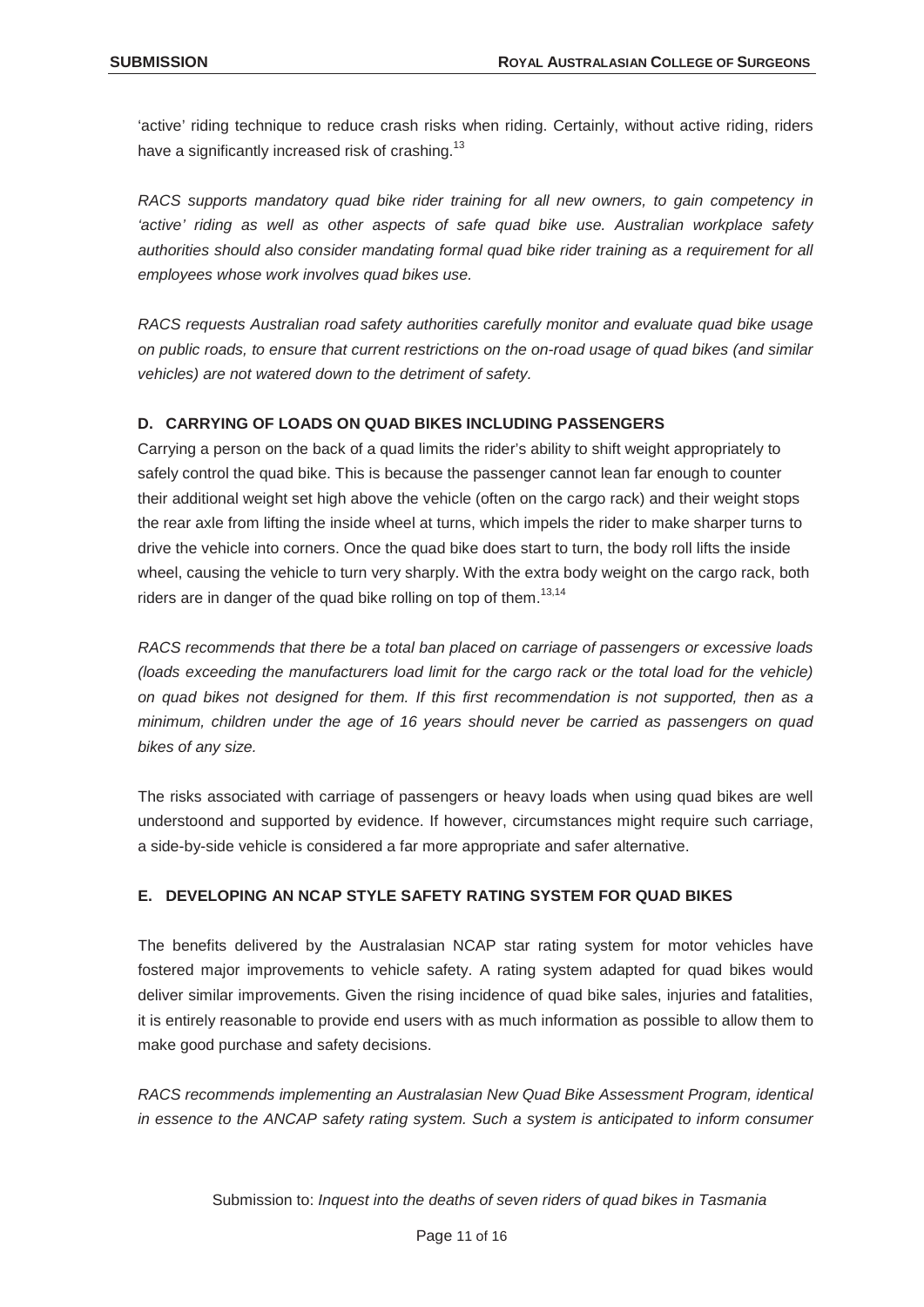'active' riding technique to reduce crash risks when riding. Certainly, without active riding, riders have a significantly increased risk of crashing.<sup>13</sup>

*RACS supports mandatory quad bike rider training for all new owners, to gain competency in 'active' riding as well as other aspects of safe quad bike use. Australian workplace safety authorities should also consider mandating formal quad bike rider training as a requirement for all employees whose work involves quad bikes use.*

*RACS requests Australian road safety authorities carefully monitor and evaluate quad bike usage on public roads, to ensure that current restrictions on the on-road usage of quad bikes (and similar vehicles) are not watered down to the detriment of safety.*

# **D. CARRYING OF LOADS ON QUAD BIKES INCLUDING PASSENGERS**

Carrying a person on the back of a quad limits the rider's ability to shift weight appropriately to safely control the quad bike. This is because the passenger cannot lean far enough to counter their additional weight set high above the vehicle (often on the cargo rack) and their weight stops the rear axle from lifting the inside wheel at turns, which impels the rider to make sharper turns to drive the vehicle into corners. Once the quad bike does start to turn, the body roll lifts the inside wheel, causing the vehicle to turn very sharply. With the extra body weight on the cargo rack, both riders are in danger of the quad bike rolling on top of them.<sup>13,14</sup>

*RACS recommends that there be a total ban placed on carriage of passengers or excessive loads (loads exceeding the manufacturers load limit for the cargo rack or the total load for the vehicle) on quad bikes not designed for them. If this first recommendation is not supported, then as a minimum, children under the age of 16 years should never be carried as passengers on quad bikes of any size.* 

The risks associated with carriage of passengers or heavy loads when using quad bikes are well understoond and supported by evidence. If however, circumstances might require such carriage, a side-by-side vehicle is considered a far more appropriate and safer alternative.

# **E. DEVELOPING AN NCAP STYLE SAFETY RATING SYSTEM FOR QUAD BIKES**

The benefits delivered by the Australasian NCAP star rating system for motor vehicles have fostered major improvements to vehicle safety. A rating system adapted for quad bikes would deliver similar improvements. Given the rising incidence of quad bike sales, injuries and fatalities, it is entirely reasonable to provide end users with as much information as possible to allow them to make good purchase and safety decisions.

*RACS recommends implementing an Australasian New Quad Bike Assessment Program, identical in essence to the ANCAP safety rating system. Such a system is anticipated to inform consumer*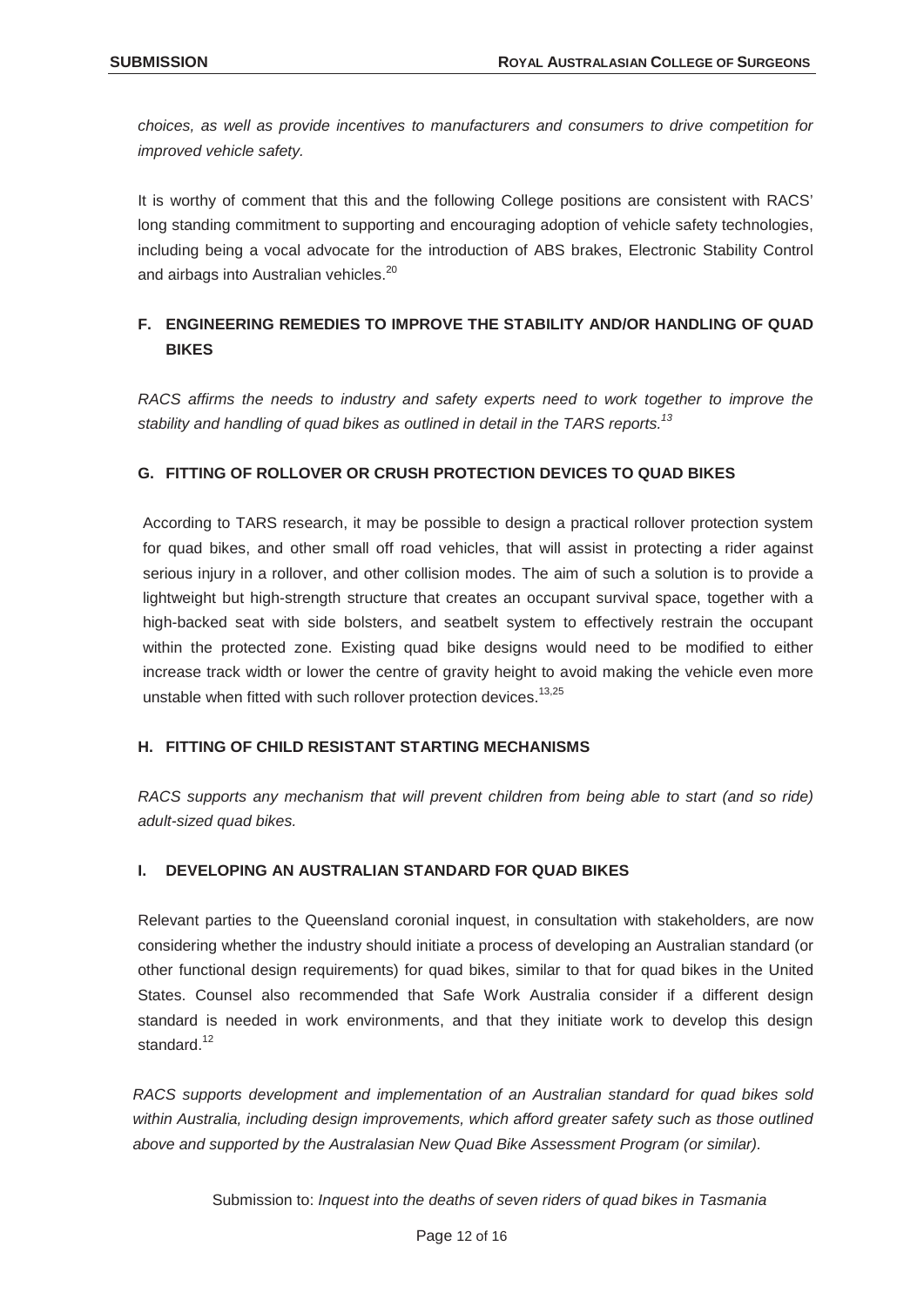*choices, as well as provide incentives to manufacturers and consumers to drive competition for improved vehicle safety.*

It is worthy of comment that this and the following College positions are consistent with RACS' long standing commitment to supporting and encouraging adoption of vehicle safety technologies, including being a vocal advocate for the introduction of ABS brakes, Electronic Stability Control and airbags into Australian vehicles.<sup>20</sup>

# **F. ENGINEERING REMEDIES TO IMPROVE THE STABILITY AND/OR HANDLING OF QUAD BIKES**

*RACS affirms the needs to industry and safety experts need to work together to improve the stability and handling of quad bikes as outlined in detail in the TARS reports.13*

# **G. FITTING OF ROLLOVER OR CRUSH PROTECTION DEVICES TO QUAD BIKES**

According to TARS research, it may be possible to design a practical rollover protection system for quad bikes, and other small off road vehicles, that will assist in protecting a rider against serious injury in a rollover, and other collision modes. The aim of such a solution is to provide a lightweight but high-strength structure that creates an occupant survival space, together with a high-backed seat with side bolsters, and seatbelt system to effectively restrain the occupant within the protected zone. Existing quad bike designs would need to be modified to either increase track width or lower the centre of gravity height to avoid making the vehicle even more unstable when fitted with such rollover protection devices.<sup>13,25</sup>

# **H. FITTING OF CHILD RESISTANT STARTING MECHANISMS**

*RACS supports any mechanism that will prevent children from being able to start (and so ride) adult-sized quad bikes.*

# **I. DEVELOPING AN AUSTRALIAN STANDARD FOR QUAD BIKES**

Relevant parties to the Queensland coronial inquest, in consultation with stakeholders, are now considering whether the industry should initiate a process of developing an Australian standard (or other functional design requirements) for quad bikes, similar to that for quad bikes in the United States. Counsel also recommended that Safe Work Australia consider if a different design standard is needed in work environments, and that they initiate work to develop this design standard.<sup>12</sup>

*RACS supports development and implementation of an Australian standard for quad bikes sold within Australia, including design improvements, which afford greater safety such as those outlined above and supported by the Australasian New Quad Bike Assessment Program (or similar).*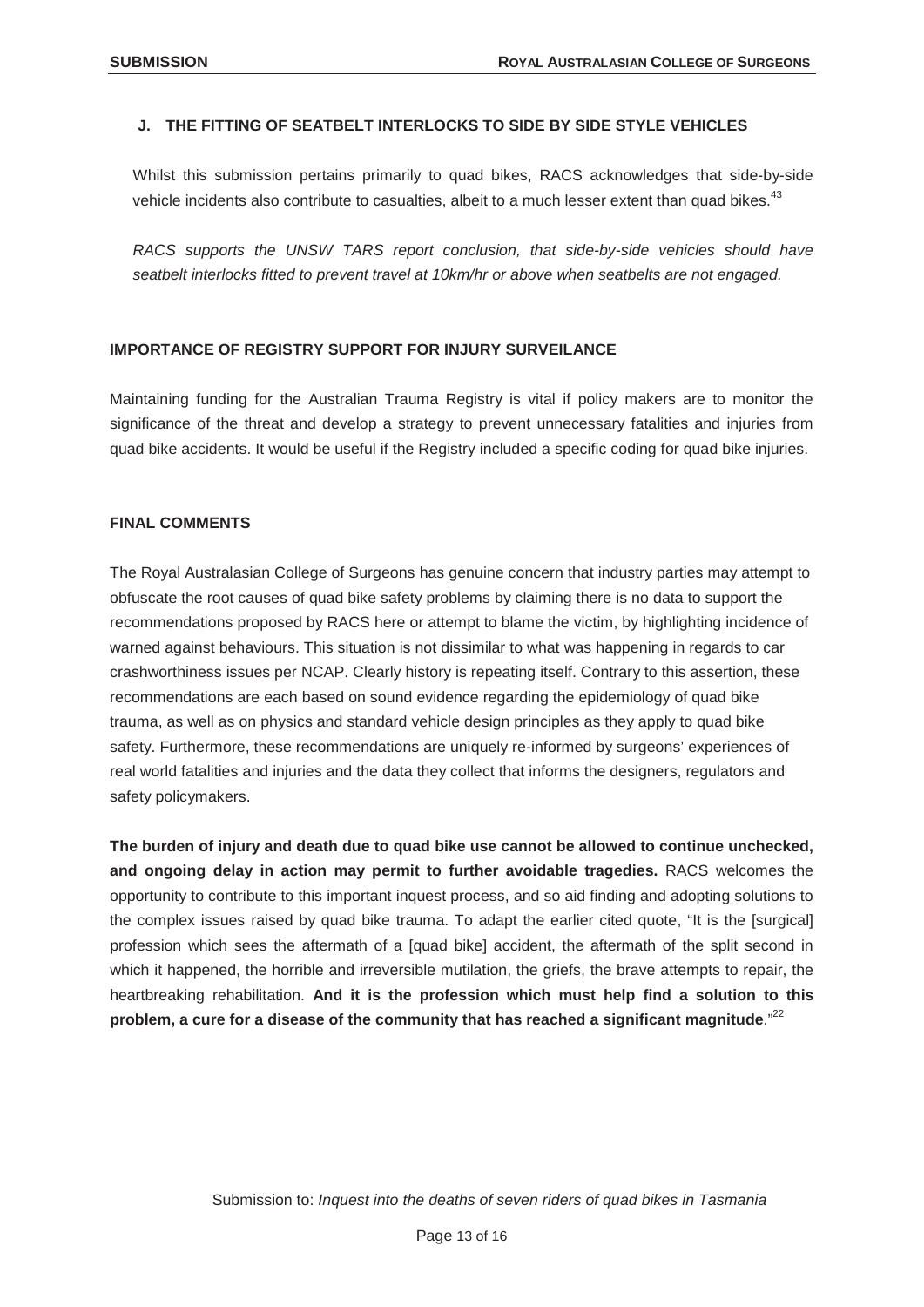#### **J. THE FITTING OF SEATBELT INTERLOCKS TO SIDE BY SIDE STYLE VEHICLES**

Whilst this submission pertains primarily to quad bikes, RACS acknowledges that side-by-side vehicle incidents also contribute to casualties, albeit to a much lesser extent than quad bikes.<sup>43</sup>

*RACS supports the UNSW TARS report conclusion, that side-by-side vehicles should have seatbelt interlocks fitted to prevent travel at 10km/hr or above when seatbelts are not engaged.*

#### **IMPORTANCE OF REGISTRY SUPPORT FOR INJURY SURVEILANCE**

Maintaining funding for the Australian Trauma Registry is vital if policy makers are to monitor the significance of the threat and develop a strategy to prevent unnecessary fatalities and injuries from quad bike accidents. It would be useful if the Registry included a specific coding for quad bike injuries.

#### **FINAL COMMENTS**

The Royal Australasian College of Surgeons has genuine concern that industry parties may attempt to obfuscate the root causes of quad bike safety problems by claiming there is no data to support the recommendations proposed by RACS here or attempt to blame the victim, by highlighting incidence of warned against behaviours. This situation is not dissimilar to what was happening in regards to car crashworthiness issues per NCAP. Clearly history is repeating itself. Contrary to this assertion, these recommendations are each based on sound evidence regarding the epidemiology of quad bike trauma, as well as on physics and standard vehicle design principles as they apply to quad bike safety. Furthermore, these recommendations are uniquely re-informed by surgeons' experiences of real world fatalities and injuries and the data they collect that informs the designers, regulators and safety policymakers.

**The burden of injury and death due to quad bike use cannot be allowed to continue unchecked, and ongoing delay in action may permit to further avoidable tragedies.** RACS welcomes the opportunity to contribute to this important inquest process, and so aid finding and adopting solutions to the complex issues raised by quad bike trauma. To adapt the earlier cited quote, "It is the [surgical] profession which sees the aftermath of a [quad bike] accident, the aftermath of the split second in which it happened, the horrible and irreversible mutilation, the griefs, the brave attempts to repair, the heartbreaking rehabilitation. **And it is the profession which must help find a solution to this problem, a cure for a disease of the community that has reached a significant magnitude**."<sup>22</sup>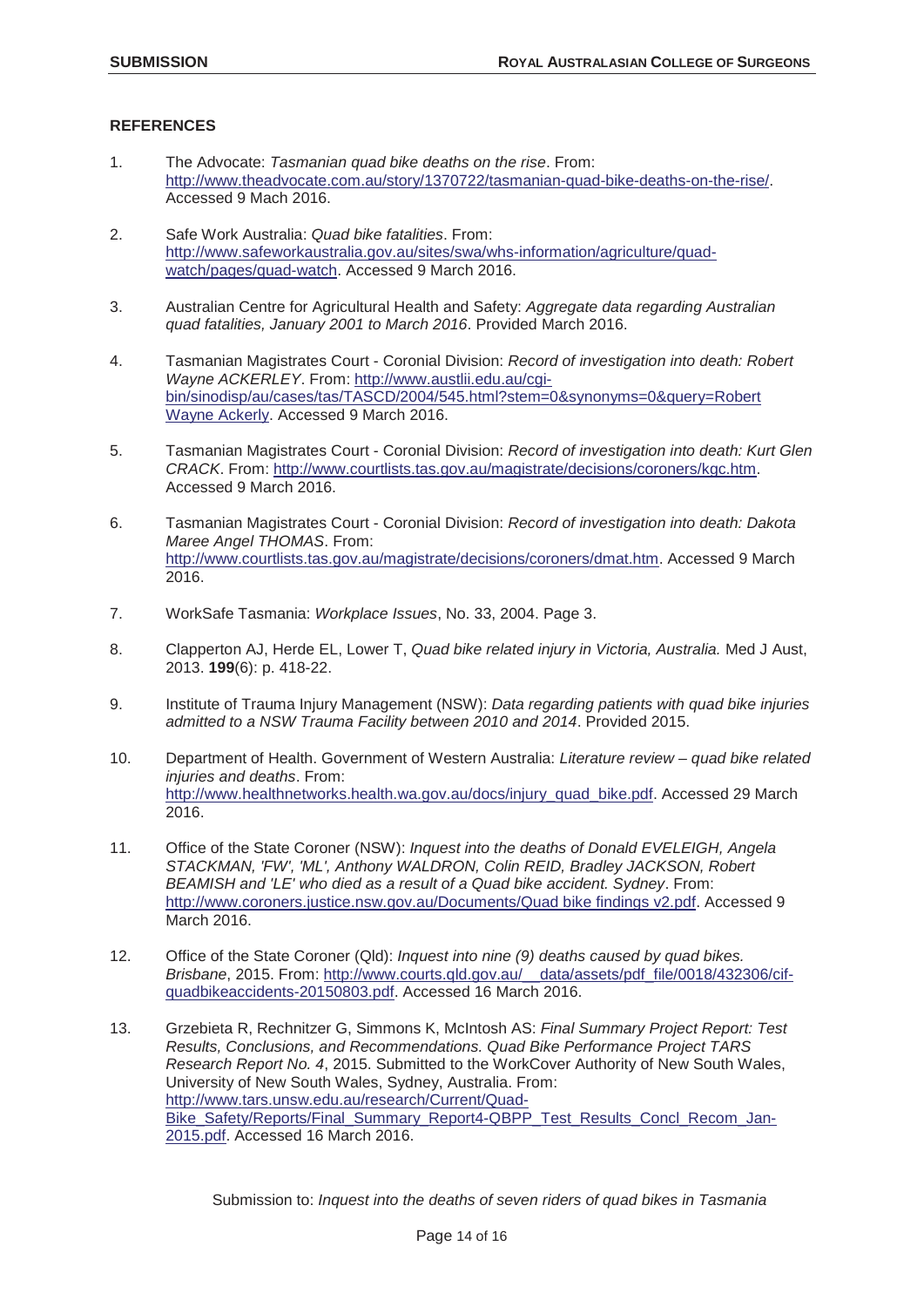#### **REFERENCES**

- 1. The Advocate: *Tasmanian quad bike deaths on the rise*. From: http://www.theadvocate.com.au/story/1370722/tasmanian-quad-bike-deaths-on-the-rise/. Accessed 9 Mach 2016.
- 2. Safe Work Australia: *Quad bike fatalities*. From: http://www.safeworkaustralia.gov.au/sites/swa/whs-information/agriculture/quadwatch/pages/quad-watch. Accessed 9 March 2016.
- 3. Australian Centre for Agricultural Health and Safety: *Aggregate data regarding Australian quad fatalities, January 2001 to March 2016*. Provided March 2016.
- 4. Tasmanian Magistrates Court Coronial Division: *Record of investigation into death: Robert Wayne ACKERLEY*. From: http://www.austlii.edu.au/cgibin/sinodisp/au/cases/tas/TASCD/2004/545.html?stem=0&synonyms=0&query=Robert Wayne Ackerly. Accessed 9 March 2016.
- 5. Tasmanian Magistrates Court Coronial Division: *Record of investigation into death: Kurt Glen CRACK*. From: http://www.courtlists.tas.gov.au/magistrate/decisions/coroners/kgc.htm. Accessed 9 March 2016.
- 6. Tasmanian Magistrates Court Coronial Division: *Record of investigation into death: Dakota Maree Angel THOMAS*. From: http://www.courtlists.tas.gov.au/magistrate/decisions/coroners/dmat.htm. Accessed 9 March 2016.
- 7. WorkSafe Tasmania: *Workplace Issues*, No. 33, 2004. Page 3.
- 8. Clapperton AJ, Herde EL, Lower T, *Quad bike related injury in Victoria, Australia.* Med J Aust, 2013. **199**(6): p. 418-22.
- 9. Institute of Trauma Injury Management (NSW): *Data regarding patients with quad bike injuries admitted to a NSW Trauma Facility between 2010 and 2014*. Provided 2015.
- 10. Department of Health. Government of Western Australia: *Literature review quad bike related injuries and deaths*. From: http://www.healthnetworks.health.wa.gov.au/docs/injury\_quad\_bike.pdf. Accessed 29 March 2016.
- 11. Office of the State Coroner (NSW): *Inquest into the deaths of Donald EVELEIGH, Angela STACKMAN, 'FW', 'ML', Anthony WALDRON, Colin REID, Bradley JACKSON, Robert BEAMISH and 'LE' who died as a result of a Quad bike accident. Sydney*. From: http://www.coroners.justice.nsw.gov.au/Documents/Quad bike findings v2.pdf. Accessed 9 March 2016.
- 12. Office of the State Coroner (Qld): *Inquest into nine (9) deaths caused by quad bikes. Brisbane*, 2015. From: http://www.courts.qld.gov.au/\_\_data/assets/pdf\_file/0018/432306/cifquadbikeaccidents-20150803.pdf. Accessed 16 March 2016.
- 13. Grzebieta R, Rechnitzer G, Simmons K, McIntosh AS: *Final Summary Project Report: Test Results, Conclusions, and Recommendations. Quad Bike Performance Project TARS Research Report No. 4*, 2015. Submitted to the WorkCover Authority of New South Wales, University of New South Wales, Sydney, Australia. From: http://www.tars.unsw.edu.au/research/Current/Quad-Bike\_Safety/Reports/Final\_Summary\_Report4-QBPP\_Test\_Results\_Concl\_Recom\_Jan-2015.pdf. Accessed 16 March 2016.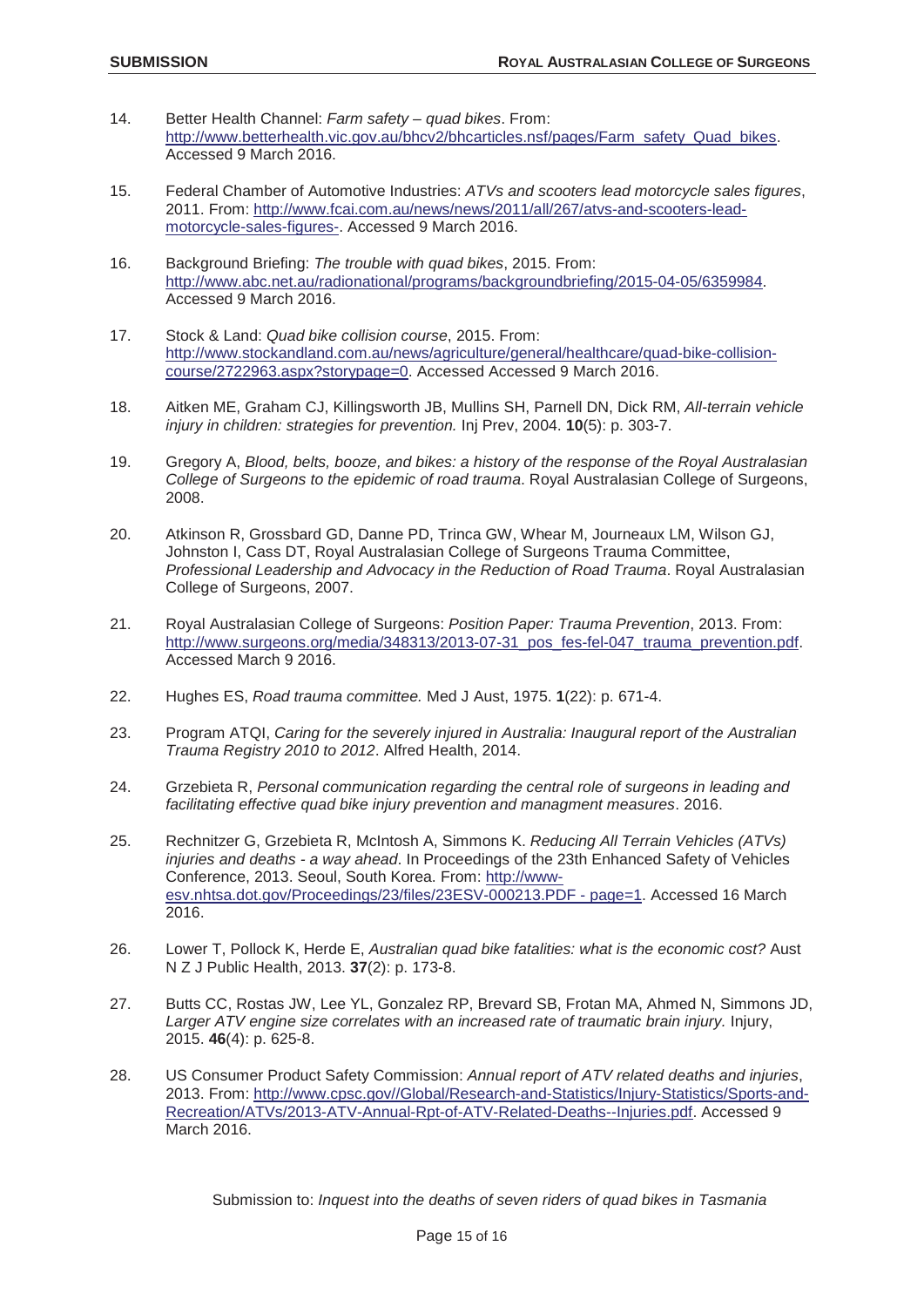- 14. Better Health Channel: *Farm safety quad bikes*. From: http://www.betterhealth.vic.gov.au/bhcv2/bhcarticles.nsf/pages/Farm\_safety\_Quad\_bikes. Accessed 9 March 2016.
- 15. Federal Chamber of Automotive Industries: *ATVs and scooters lead motorcycle sales figures*, 2011. From: http://www.fcai.com.au/news/news/2011/all/267/atvs-and-scooters-leadmotorcycle-sales-figures-. Accessed 9 March 2016.
- 16. Background Briefing: *The trouble with quad bikes*, 2015. From: http://www.abc.net.au/radionational/programs/backgroundbriefing/2015-04-05/6359984. Accessed 9 March 2016.
- 17. Stock & Land: *Quad bike collision course*, 2015. From: http://www.stockandland.com.au/news/agriculture/general/healthcare/quad-bike-collisioncourse/2722963.aspx?storypage=0. Accessed Accessed 9 March 2016.
- 18. Aitken ME, Graham CJ, Killingsworth JB, Mullins SH, Parnell DN, Dick RM, *All-terrain vehicle injury in children: strategies for prevention.* Inj Prev, 2004. **10**(5): p. 303-7.
- 19. Gregory A, *Blood, belts, booze, and bikes: a history of the response of the Royal Australasian College of Surgeons to the epidemic of road trauma*. Royal Australasian College of Surgeons, 2008.
- 20. Atkinson R, Grossbard GD, Danne PD, Trinca GW, Whear M, Journeaux LM, Wilson GJ, Johnston I, Cass DT, Royal Australasian College of Surgeons Trauma Committee, *Professional Leadership and Advocacy in the Reduction of Road Trauma*. Royal Australasian College of Surgeons, 2007.
- 21. Royal Australasian College of Surgeons: *Position Paper: Trauma Prevention*, 2013. From: http://www.surgeons.org/media/348313/2013-07-31\_pos\_fes-fel-047\_trauma\_prevention.pdf. Accessed March 9 2016.
- 22. Hughes ES, *Road trauma committee.* Med J Aust, 1975. **1**(22): p. 671-4.
- 23. Program ATQI, *Caring for the severely injured in Australia: Inaugural report of the Australian Trauma Registry 2010 to 2012*. Alfred Health, 2014.
- 24. Grzebieta R, *Personal communication regarding the central role of surgeons in leading and facilitating effective quad bike injury prevention and managment measures*. 2016.
- 25. Rechnitzer G, Grzebieta R, McIntosh A, Simmons K. *Reducing All Terrain Vehicles (ATVs) injuries and deaths - a way ahead*. In Proceedings of the 23th Enhanced Safety of Vehicles Conference, 2013. Seoul, South Korea. From: http://wwwesv.nhtsa.dot.gov/Proceedings/23/files/23ESV-000213.PDF - page=1. Accessed 16 March 2016.
- 26. Lower T, Pollock K, Herde E, *Australian quad bike fatalities: what is the economic cost?* Aust N Z J Public Health, 2013. **37**(2): p. 173-8.
- 27. Butts CC, Rostas JW, Lee YL, Gonzalez RP, Brevard SB, Frotan MA, Ahmed N, Simmons JD, *Larger ATV engine size correlates with an increased rate of traumatic brain injury.* Injury, 2015. **46**(4): p. 625-8.
- 28. US Consumer Product Safety Commission: *Annual report of ATV related deaths and injuries*, 2013. From: http://www.cpsc.gov//Global/Research-and-Statistics/Injury-Statistics/Sports-and-Recreation/ATVs/2013-ATV-Annual-Rpt-of-ATV-Related-Deaths--Injuries.pdf. Accessed 9 **March 2016.**